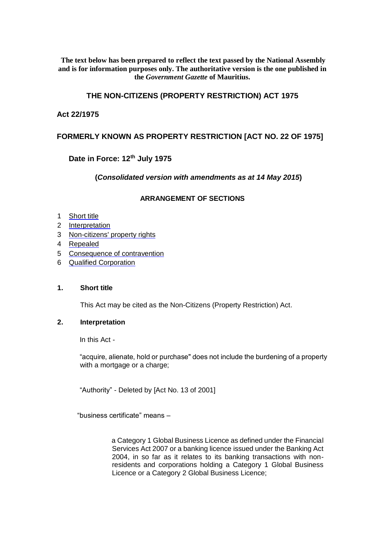#### **The text below has been prepared to reflect the text passed by the National Assembly and is for information purposes only. The authoritative version is the one published in the** *Government Gazette* **of Mauritius.**

## **THE NON-CITIZENS (PROPERTY RESTRICTION) ACT 1975**

# **Act 22/1975**

# **FORMERLY KNOWN AS PROPERTY RESTRICTION [ACT NO. 22 OF 1975]**

# **Date in Force: 12th July 1975**

## **(***Consolidated version with amendments as at 14 May 2015***)**

# **ARRANGEMENT OF SECTIONS**

#### 1 Short title

- 2 Interpretation
- 3 Non-citizens' property rights
- 4 Repealed
- 5 Consequence of contravention
- 6 Qualified Corporation

#### **1. Short title**

This Act may be cited as the Non-Citizens (Property Restriction) Act.

#### **2. Interpretation**

In this Act -

"acquire, alienate, hold or purchase" does not include the burdening of a property with a mortgage or a charge;

"Authority" - Deleted by [Act No. 13 of 2001]

"business certificate" means –

a Category 1 Global Business Licence as defined under the Financial Services Act 2007 or a banking licence issued under the Banking Act 2004, in so far as it relates to its banking transactions with nonresidents and corporations holding a Category 1 Global Business Licence or a Category 2 Global Business Licence;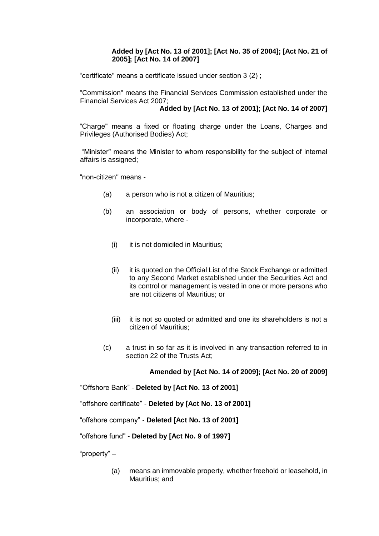## **Added by [Act No. 13 of 2001]; [Act No. 35 of 2004]; [Act No. 21 of 2005]; [Act No. 14 of 2007]**

"certificate" means a certificate issued under section 3 (2) ;

"Commission" means the Financial Services Commission established under the Financial Services Act 2007;

## **Added by [Act No. 13 of 2001]; [Act No. 14 of 2007]**

"Charge" means a fixed or floating charge under the Loans, Charges and Privileges (Authorised Bodies) Act;

"Minister" means the Minister to whom responsibility for the subject of internal affairs is assigned;

"non-citizen" means -

- (a) a person who is not a citizen of Mauritius;
- (b) an association or body of persons, whether corporate or incorporate, where -
	- (i) it is not domiciled in Mauritius;
	- (ii) it is quoted on the Official List of the Stock Exchange or admitted to any Second Market established under the Securities Act and its control or management is vested in one or more persons who are not citizens of Mauritius; or
	- (iii) it is not so quoted or admitted and one its shareholders is not a citizen of Mauritius;
- (c) a trust in so far as it is involved in any transaction referred to in section 22 of the Trusts Act;

## **Amended by [Act No. 14 of 2009]; [Act No. 20 of 2009]**

"Offshore Bank" - **Deleted by [Act No. 13 of 2001]** 

"offshore certificate" - **Deleted by [Act No. 13 of 2001]** 

"offshore company" - **Deleted [Act No. 13 of 2001]** 

"offshore fund" - **Deleted by [Act No. 9 of 1997]**

"property" –

(a) means an immovable property, whether freehold or leasehold, in Mauritius; and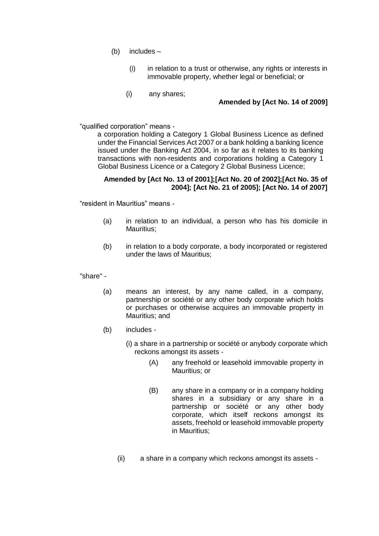- (b) includes
	- (i) in relation to a trust or otherwise, any rights or interests in immovable property, whether legal or beneficial; or
	- (i) any shares;

## **Amended by [Act No. 14 of 2009]**

"qualified corporation" means -

a corporation holding a Category 1 Global Business Licence as defined under the Financial Services Act 2007 or a bank holding a banking licence issued under the Banking Act 2004, in so far as it relates to its banking transactions with non-residents and corporations holding a Category 1 Global Business Licence or a Category 2 Global Business Licence;

## **Amended by [Act No. 13 of 2001];[Act No. 20 of 2002];[Act No. 35 of 2004]; [Act No. 21 of 2005]; [Act No. 14 of 2007]**

"resident in Mauritius" means -

- (a) in relation to an individual, a person who has his domicile in Mauritius;
- (b) in relation to a body corporate, a body incorporated or registered under the laws of Mauritius;

"share" -

- (a) means an interest, by any name called, in a company, partnership or société or any other body corporate which holds or purchases or otherwise acquires an immovable property in Mauritius; and
- (b) includes
	- (i) a share in a partnership or société or anybody corporate which reckons amongst its assets -
		- (A) any freehold or leasehold immovable property in Mauritius; or
		- (B) any share in a company or in a company holding shares in a subsidiary or any share in a partnership or société or any other body corporate, which itself reckons amongst its assets, freehold or leasehold immovable property in Mauritius;
	- (ii) a share in a company which reckons amongst its assets -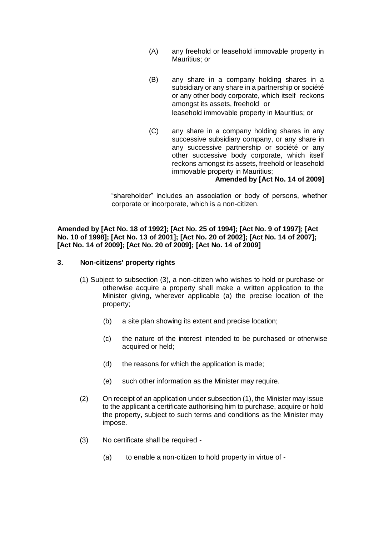- (A) any freehold or leasehold immovable property in Mauritius; or
- (B) any share in a company holding shares in a subsidiary or any share in a partnership or société or any other body corporate, which itself reckons amongst its assets, freehold or leasehold immovable property in Mauritius; or
- (C) any share in a company holding shares in any successive subsidiary company, or any share in any successive partnership or société or any other successive body corporate, which itself reckons amongst its assets, freehold or leasehold immovable property in Mauritius;

#### **Amended by [Act No. 14 of 2009]**

"shareholder" includes an association or body of persons, whether corporate or incorporate, which is a non-citizen.

#### **Amended by [Act No. 18 of 1992]; [Act No. 25 of 1994]; [Act No. 9 of 1997]; [Act No. 10 of 1998]; [Act No. 13 of 2001]; [Act No. 20 of 2002]; [Act No. 14 of 2007]; [Act No. 14 of 2009]; [Act No. 20 of 2009]; [Act No. 14 of 2009]**

#### **3. Non-citizens' property rights**

- (1) Subject to subsection (3), a non-citizen who wishes to hold or purchase or otherwise acquire a property shall make a written application to the Minister giving, wherever applicable (a) the precise location of the property;
	- (b) a site plan showing its extent and precise location;
	- (c) the nature of the interest intended to be purchased or otherwise acquired or held;
	- (d) the reasons for which the application is made;
	- (e) such other information as the Minister may require.
- (2) On receipt of an application under subsection (1), the Minister may issue to the applicant a certificate authorising him to purchase, acquire or hold the property, subject to such terms and conditions as the Minister may impose.
- (3) No certificate shall be required
	- (a) to enable a non-citizen to hold property in virtue of -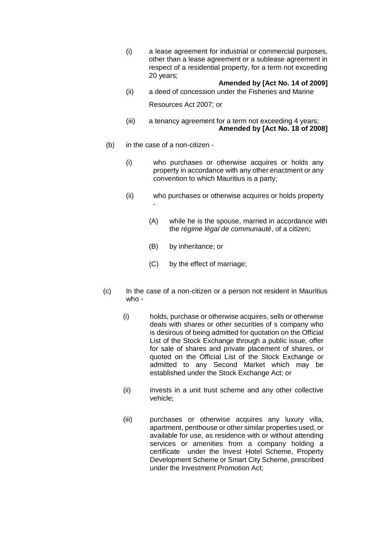(i) a lease agreement for industrial or commercial purposes, other than a lease agreement or a sublease agreement in respect of a residential property, for a term not exceeding 20 years;

#### **Amended by [Act No. 14 of 2009]**

(ii) a deed of concession under the Fisheries and Marine

Resources Act 2007; or

- (iii) a tenancy agreement for a term not exceeding 4 years; **Amended by [Act No. 18 of 2008]**
- (b) in the case of a non-citizen
	- (i) who purchases or otherwise acquires or holds any property in accordance with any other enactment or any convention to which Mauritius is a party;
	- (ii) who purchases or otherwise acquires or holds property -
		- (A) while he is the spouse, married in accordance with the *régime légal de communauté*, of a citizen;
		- (B) by inheritance; or
		- (C) by the effect of marriage;
- (c) In the case of a non-citizen or a person not resident in Mauritius who -
	- (i) holds, purchase or otherwise acquires, sells or otherwise deals with shares or other securities of s company who is desirous of being admitted for quotation on the Official List of the Stock Exchange through a public issue, offer for sale of shares and private placement of shares, or quoted on the Official List of the Stock Exchange or admitted to any Second Market which may be established under the Stock Exchange Act; or
	- (ii) invests in a unit trust scheme and any other collective vehicle;
	- (iii) purchases or otherwise acquires any luxury villa, apartment, penthouse or other similar properties used, or available for use, as residence with or without attending services or amenities from a company holding a certificate under the Invest Hotel Scheme, Property Development Scheme or Smart City Scheme, prescribed under the Investment Promotion Act;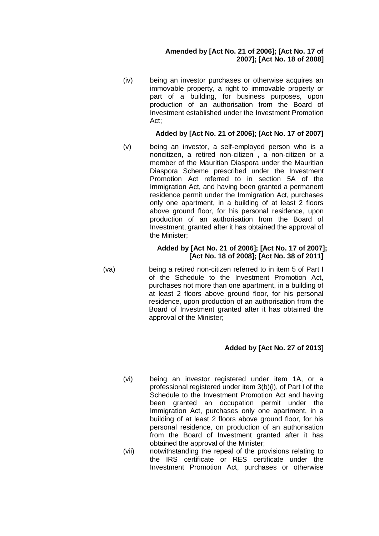## **Amended by [Act No. 21 of 2006]; [Act No. 17 of 2007]; [Act No. 18 of 2008]**

(iv) being an investor purchases or otherwise acquires an immovable property, a right to immovable property or part of a building, for business purposes, upon production of an authorisation from the Board of Investment established under the Investment Promotion Act;

## **Added by [Act No. 21 of 2006]; [Act No. 17 of 2007]**

(v) being an investor, a self-employed person who is a noncitizen, a retired non-citizen , a non-citizen or a member of the Mauritian Diaspora under the Mauritian Diaspora Scheme prescribed under the Investment Promotion Act referred to in section 5A of the Immigration Act, and having been granted a permanent residence permit under the Immigration Act, purchases only one apartment, in a building of at least 2 floors above ground floor, for his personal residence, upon production of an authorisation from the Board of Investment, granted after it has obtained the approval of the Minister;

#### **Added by [Act No. 21 of 2006]; [Act No. 17 of 2007]; [Act No. 18 of 2008]; [Act No. 38 of 2011]**

(va) being a retired non-citizen referred to in item 5 of Part I of the Schedule to the Investment Promotion Act, purchases not more than one apartment, in a building of at least 2 floors above ground floor, for his personal residence, upon production of an authorisation from the Board of Investment granted after it has obtained the approval of the Minister;

## **Added by [Act No. 27 of 2013]**

- (vi) being an investor registered under item 1A, or a professional registered under item 3(b)(i), of Part I of the Schedule to the Investment Promotion Act and having been granted an occupation permit under the Immigration Act, purchases only one apartment, in a building of at least 2 floors above ground floor, for his personal residence, on production of an authorisation from the Board of Investment granted after it has obtained the approval of the Minister;
- (vii) notwithstanding the repeal of the provisions relating to the IRS certificate or RES certificate under the Investment Promotion Act, purchases or otherwise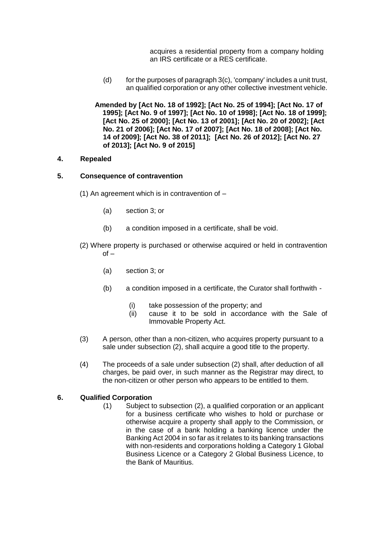acquires a residential property from a company holding an IRS certificate or a RES certificate.

(d) for the purposes of paragraph  $3(c)$ , 'company' includes a unit trust, an qualified corporation or any other collective investment vehicle.

**Amended by [\[Act No. 18 of 1992\];](https://supremecourt.govmu.org/_layouts/CLIS.DMS/search/searchdocumentbykey.aspx?ID=%5BAct%20No.%2018%20of%201992%5D&list=Legislations) [\[Act No. 25 of 1994\];](https://supremecourt.govmu.org/_layouts/CLIS.DMS/search/searchdocumentbykey.aspx?ID=%5BAct%20No.%2025%20of%201994%5D&list=Legislations) [\[Act No. 17 of](https://supremecourt.govmu.org/_layouts/CLIS.DMS/search/searchdocumentbykey.aspx?ID=%5BAct%20No.%2017%20of%201995%5D&list=Legislations) [1995\];](https://supremecourt.govmu.org/_layouts/CLIS.DMS/search/searchdocumentbykey.aspx?ID=%5BAct%20No.%2017%20of%201995%5D&list=Legislations) [\[Act No. 9 of 1997\];](https://supremecourt.govmu.org/_layouts/CLIS.DMS/search/searchdocumentbykey.aspx?ID=%5BAct%20No.%209%20of%201997%5D&list=Legislations) [\[Act No. 10 of 1998\];](https://supremecourt.govmu.org/_layouts/CLIS.DMS/search/searchdocumentbykey.aspx?ID=%5BAct%20No.%2010%20of%201998%5D&list=Legislations) [\[Act No. 18 of 1999\];](https://supremecourt.govmu.org/_layouts/CLIS.DMS/search/searchdocumentbykey.aspx?ID=%5BAct%20No.%2018%20of%201999%5D&list=Legislations) [\[Act No.](https://supremecourt.govmu.org/_layouts/CLIS.DMS/search/searchdocumentbykey.aspx?ID=%5BAct%20No.%2025%20of%202000%5D&list=Legislations) [25 of 2000\];](https://supremecourt.govmu.org/_layouts/CLIS.DMS/search/searchdocumentbykey.aspx?ID=%5BAct%20No.%2025%20of%202000%5D&list=Legislations) [\[Act No. 13 of 2001\];](https://supremecourt.govmu.org/_layouts/CLIS.DMS/search/searchdocumentbykey.aspx?ID=%5BAct%20No.%2013%20of%202001%5D&list=Legislations) [\[Act No. 20 of 2002\];](https://supremecourt.govmu.org/_layouts/CLIS.DMS/search/searchdocumentbykey.aspx?ID=%5BAct%20No.%2020%20of%202002%5D&list=Legislations) [\[Act](https://supremecourt.govmu.org/_layouts/CLIS.DMS/search/searchdocumentbykey.aspx?ID=%5BAct%20No.%2021%20of%202006%5D&list=Legislations)  [No. 21 of 2006\];](https://supremecourt.govmu.org/_layouts/CLIS.DMS/search/searchdocumentbykey.aspx?ID=%5BAct%20No.%2021%20of%202006%5D&list=Legislations) [\[Act No. 17 of 2007\];](https://supremecourt.govmu.org/_layouts/CLIS.DMS/search/searchdocumentbykey.aspx?ID=%5BAct%20No.%2017%20of%202007%5D&list=Legislations) [\[Act No. 18 of 2008\];](https://supremecourt.govmu.org/_layouts/CLIS.DMS/search/searchdocumentbykey.aspx?ID=%5BAct%20No.%2018%20of%202008%5D&list=Legislations) [\[Act No.](https://supremecourt.govmu.org/_layouts/CLIS.DMS/search/searchdocumentbykey.aspx?ID=%5BAct%20No.%2014%20of%202009%5D&list=Legislations)  [14 of 2009\];](https://supremecourt.govmu.org/_layouts/CLIS.DMS/search/searchdocumentbykey.aspx?ID=%5BAct%20No.%2014%20of%202009%5D&list=Legislations) [\[Act No. 38 of](https://supremecourt.govmu.org/_layouts/CLIS.DMS/search/searchdocumentbykey.aspx?ID=%5BAct%20No.%2038%20of%202011%5D&list=Legislations) [2011\];](https://supremecourt.govmu.org/_layouts/CLIS.DMS/search/searchdocumentbykey.aspx?ID=%5BAct%20No.%2038%20of%202011%5D&list=Legislations) [\[Act No. 26 of 2012\];](https://supremecourt.govmu.org/_layouts/CLIS.DMS/search/searchdocumentbykey.aspx?ID=%5BAct%20No.%2026%20of%202012%5D&list=Legislations) [\[Act No. 27](https://supremecourt.govmu.org/_layouts/CLIS.DMS/search/searchdocumentbykey.aspx?ID=%5BAct%20No.%2027%20of%202013%5D&list=Legislations)  [of 2013\];](https://supremecourt.govmu.org/_layouts/CLIS.DMS/search/searchdocumentbykey.aspx?ID=%5BAct%20No.%2027%20of%202013%5D&list=Legislations) [\[Act No. 9 of 2015\]](https://supremecourt.govmu.org/_layouts/CLIS.DMS/search/searchdocumentbykey.aspx?ID=%5BAct%20No.%209%20of%202015%5D&list=Legislations)**

#### **4. Repealed**

#### **5. Consequence of contravention**

- (1) An agreement which is in contravention of
	- (a) section 3; or
	- (b) a condition imposed in a certificate, shall be void.
- (2) Where property is purchased or otherwise acquired or held in contravention  $of -$ 
	- (a) section 3; or
	- (b) a condition imposed in a certificate, the Curator shall forthwith
		- (i) take possession of the property; and
		- (ii) cause it to be sold in accordance with the Sale of Immovable Property Act.
- (3) A person, other than a non-citizen, who acquires property pursuant to a sale under subsection (2), shall acquire a good title to the property.
- (4) The proceeds of a sale under subsection (2) shall, after deduction of all charges, be paid over, in such manner as the Registrar may direct, to the non-citizen or other person who appears to be entitled to them.

## **6. Qualified Corporation**

(1) Subject to subsection (2), a qualified corporation or an applicant for a business certificate who wishes to hold or purchase or otherwise acquire a property shall apply to the Commission, or in the case of a bank holding a banking licence under the Banking Act 2004 in so far as it relates to its banking transactions with non-residents and corporations holding a Category 1 Global Business Licence or a Category 2 Global Business Licence, to the Bank of Mauritius.